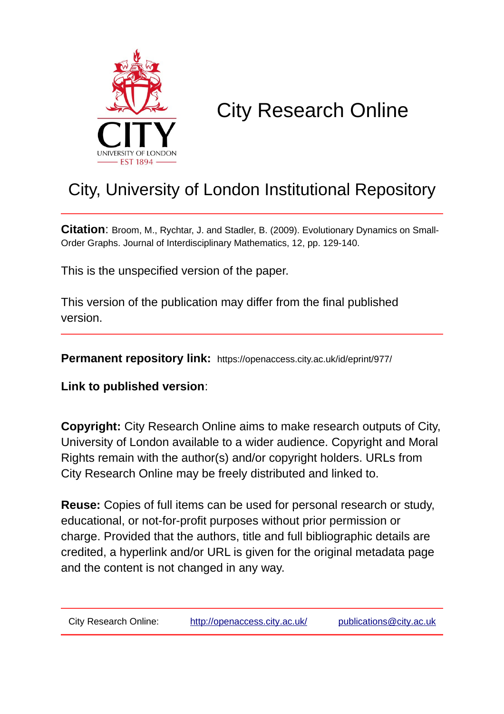

# City Research Online

# City, University of London Institutional Repository

**Citation**: Broom, M., Rychtar, J. and Stadler, B. (2009). Evolutionary Dynamics on Small-Order Graphs. Journal of Interdisciplinary Mathematics, 12, pp. 129-140.

This is the unspecified version of the paper.

This version of the publication may differ from the final published version.

**Permanent repository link:** https://openaccess.city.ac.uk/id/eprint/977/

**Link to published version**:

**Copyright:** City Research Online aims to make research outputs of City, University of London available to a wider audience. Copyright and Moral Rights remain with the author(s) and/or copyright holders. URLs from City Research Online may be freely distributed and linked to.

**Reuse:** Copies of full items can be used for personal research or study, educational, or not-for-profit purposes without prior permission or charge. Provided that the authors, title and full bibliographic details are credited, a hyperlink and/or URL is given for the original metadata page and the content is not changed in any way.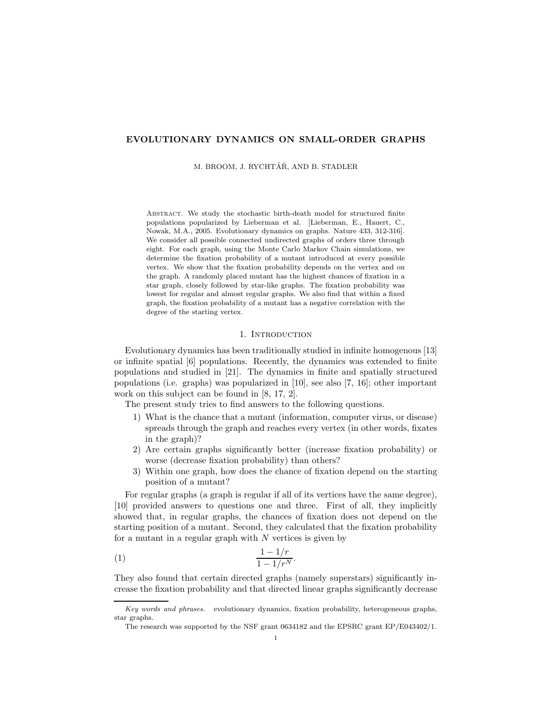# EVOLUTIONARY DYNAMICS ON SMALL-ORDER GRAPHS

M. BROOM, J. RYCHTÁŘ, AND B. STADLER

ABSTRACT. We study the stochastic birth-death model for structured finite populations popularized by Lieberman et al. [Lieberman, E., Hauert, C., Nowak, M.A., 2005. Evolutionary dynamics on graphs. Nature 433, 312-316]. We consider all possible connected undirected graphs of orders three through eight. For each graph, using the Monte Carlo Markov Chain simulations, we determine the fixation probability of a mutant introduced at every possible vertex. We show that the fixation probability depends on the vertex and on the graph. A randomly placed mutant has the highest chances of fixation in a star graph, closely followed by star-like graphs. The fixation probability was lowest for regular and almost regular graphs. We also find that within a fixed graph, the fixation probability of a mutant has a negative correlation with the degree of the starting vertex.

# 1. INTRODUCTION

Evolutionary dynamics has been traditionally studied in infinite homogenous [13] or infinite spatial [6] populations. Recently, the dynamics was extended to finite populations and studied in [21]. The dynamics in finite and spatially structured populations (i.e. graphs) was popularized in [10], see also [7, 16]; other important work on this subject can be found in [8, 17, 2].

The present study tries to find answers to the following questions.

- 1) What is the chance that a mutant (information, computer virus, or disease) spreads through the graph and reaches every vertex (in other words, fixates in the graph)?
- 2) Are certain graphs significantly better (increase fixation probability) or worse (decrease fixation probability) than others?
- 3) Within one graph, how does the chance of fixation depend on the starting position of a mutant?

For regular graphs (a graph is regular if all of its vertices have the same degree), [10] provided answers to questions one and three. First of all, they implicitly showed that, in regular graphs, the chances of fixation does not depend on the starting position of a mutant. Second, they calculated that the fixation probability for a mutant in a regular graph with  $N$  vertices is given by

$$
\frac{1 - 1/r}{1 - 1/r^N}.
$$

They also found that certain directed graphs (namely superstars) significantly increase the fixation probability and that directed linear graphs significantly decrease

Key words and phrases. evolutionary dynamics, fixation probability, heterogeneous graphs, star graphs.

The research was supported by the NSF grant 0634182 and the EPSRC grant EP/E043402/1.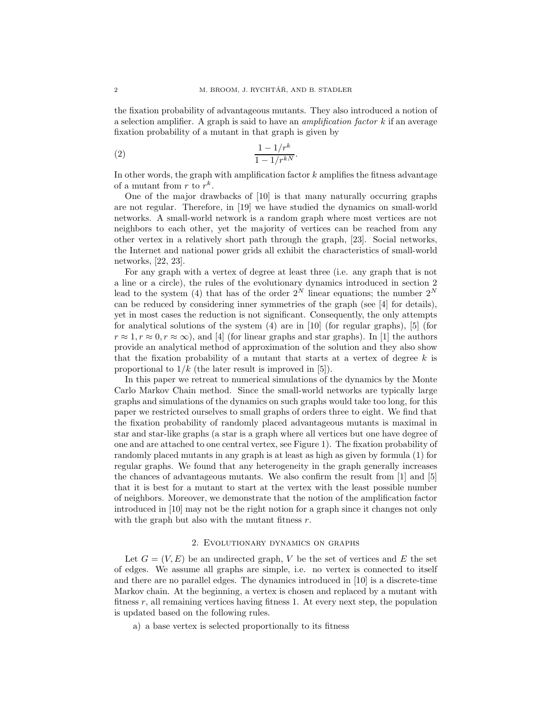the fixation probability of advantageous mutants. They also introduced a notion of a selection amplifier. A graph is said to have an *amplification factor*  $k$  if an average fixation probability of a mutant in that graph is given by

$$
\frac{1 - 1/r^k}{1 - 1/r^{kN}}.
$$

In other words, the graph with amplification factor  $k$  amplifies the fitness advantage of a mutant from  $r$  to  $r^k$ .

One of the major drawbacks of [10] is that many naturally occurring graphs are not regular. Therefore, in [19] we have studied the dynamics on small-world networks. A small-world network is a random graph where most vertices are not neighbors to each other, yet the majority of vertices can be reached from any other vertex in a relatively short path through the graph, [23]. Social networks, the Internet and national power grids all exhibit the characteristics of small-world networks, [22, 23].

For any graph with a vertex of degree at least three (i.e. any graph that is not a line or a circle), the rules of the evolutionary dynamics introduced in section 2 lead to the system (4) that has of the order  $2^N$  linear equations; the number  $2^N$ can be reduced by considering inner symmetries of the graph (see [4] for details), yet in most cases the reduction is not significant. Consequently, the only attempts for analytical solutions of the system  $(4)$  are in  $[10]$  (for regular graphs),  $[5]$  (for  $r \approx 1, r \approx 0, r \approx \infty$ ), and [4] (for linear graphs and star graphs). In [1] the authors provide an analytical method of approximation of the solution and they also show that the fixation probability of a mutant that starts at a vertex of degree  $k$  is proportional to  $1/k$  (the later result is improved in [5]).

In this paper we retreat to numerical simulations of the dynamics by the Monte Carlo Markov Chain method. Since the small-world networks are typically large graphs and simulations of the dynamics on such graphs would take too long, for this paper we restricted ourselves to small graphs of orders three to eight. We find that the fixation probability of randomly placed advantageous mutants is maximal in star and star-like graphs (a star is a graph where all vertices but one have degree of one and are attached to one central vertex, see Figure 1). The fixation probability of randomly placed mutants in any graph is at least as high as given by formula (1) for regular graphs. We found that any heterogeneity in the graph generally increases the chances of advantageous mutants. We also confirm the result from [1] and [5] that it is best for a mutant to start at the vertex with the least possible number of neighbors. Moreover, we demonstrate that the notion of the amplification factor introduced in [10] may not be the right notion for a graph since it changes not only with the graph but also with the mutant fitness  $r$ .

## 2. Evolutionary dynamics on graphs

Let  $G = (V, E)$  be an undirected graph, V be the set of vertices and E the set of edges. We assume all graphs are simple, i.e. no vertex is connected to itself and there are no parallel edges. The dynamics introduced in [10] is a discrete-time Markov chain. At the beginning, a vertex is chosen and replaced by a mutant with fitness  $r$ , all remaining vertices having fitness 1. At every next step, the population is updated based on the following rules.

a) a base vertex is selected proportionally to its fitness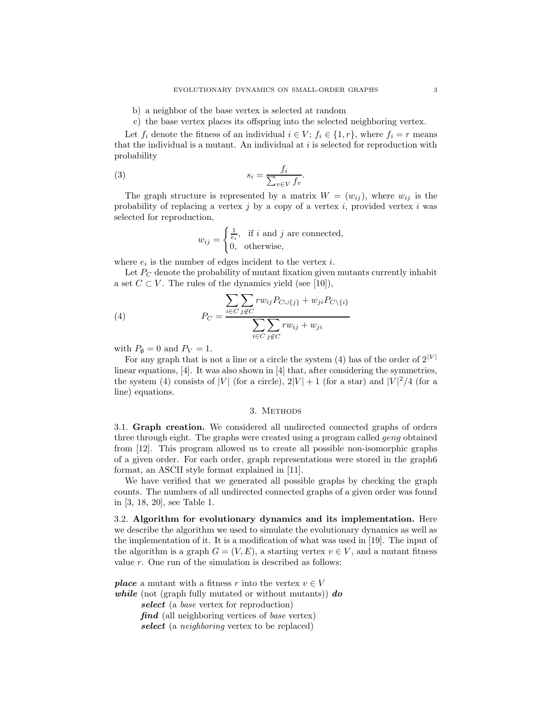b) a neighbor of the base vertex is selected at random

c) the base vertex places its offspring into the selected neighboring vertex.

Let  $f_i$  denote the fitness of an individual  $i \in V$ ;  $f_i \in \{1, r\}$ , where  $f_i = r$  means that the individual is a mutant. An individual at  $i$  is selected for reproduction with probability

(3) 
$$
s_i = \frac{f_i}{\sum_{v \in V} f_v}.
$$

The graph structure is represented by a matrix  $W = (w_{ij})$ , where  $w_{ij}$  is the probability of replacing a vertex j by a copy of a vertex i, provided vertex i was selected for reproduction,

$$
w_{ij} = \begin{cases} \frac{1}{e_i}, & \text{if } i \text{ and } j \text{ are connected,} \\ 0, & \text{otherwise,} \end{cases}
$$

where  $e_i$  is the number of edges incident to the vertex *i*.

Let  $P_C$  denote the probability of mutant fixation given mutants currently inhabit a set  $C \subset V$ . The rules of the dynamics yield (see [10]),

(4) 
$$
P_C = \frac{\sum_{i \in C} \sum_{j \notin C} rw_{ij}P_{C \cup \{j\}} + w_{ji}P_{C \setminus \{i\}}}{\sum_{i \in C} \sum_{j \notin C} rw_{ij} + w_{ji}}
$$

with  $P_{\emptyset} = 0$  and  $P_V = 1$ .

For any graph that is not a line or a circle the system (4) has of the order of  $2^{|V|}$ linear equations, [4]. It was also shown in [4] that, after considering the symmetries, the system (4) consists of |V| (for a circle),  $2|V| + 1$  (for a star) and  $|V|^2/4$  (for a line) equations.

#### 3. METHODS

3.1. Graph creation. We considered all undirected connected graphs of orders three through eight. The graphs were created using a program called geng obtained from [12]. This program allowed us to create all possible non-isomorphic graphs of a given order. For each order, graph representations were stored in the graph6 format, an ASCII style format explained in [11].

We have verified that we generated all possible graphs by checking the graph counts. The numbers of all undirected connected graphs of a given order was found in [3, 18, 20], see Table 1.

3.2. Algorithm for evolutionary dynamics and its implementation. Here we describe the algorithm we used to simulate the evolutionary dynamics as well as the implementation of it. It is a modification of what was used in [19]. The input of the algorithm is a graph  $G = (V, E)$ , a starting vertex  $v \in V$ , and a mutant fitness value  $r$ . One run of the simulation is described as follows:

**place** a mutant with a fitness r into the vertex  $v \in V$ while (not (graph fully mutated or without mutants))  $\bf{d}$ select (a base vertex for reproduction) **find** (all neighboring vertices of base vertex)

select (a *neighboring* vertex to be replaced)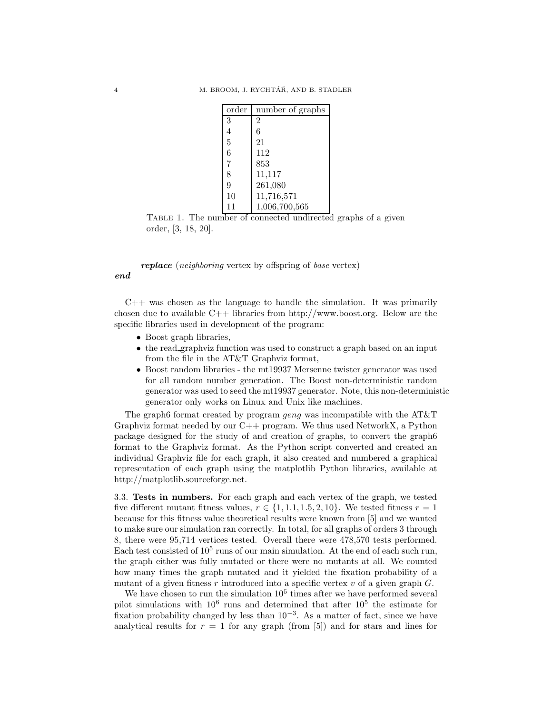| order | number of graphs |
|-------|------------------|
| 3     | 2                |
| 4     | 6                |
| 5     | 21               |
| 6     | 112              |
| 7     | 853              |
| 8     | 11,117           |
| 9     | 261,080          |
| 10    | 11,716,571       |
| 11    | 1,006,700,565    |

TABLE 1. The number of connected undirected graphs of a given order, [3, 18, 20].

replace (neighboring vertex by offspring of base vertex)

end

 $C++$  was chosen as the language to handle the simulation. It was primarily chosen due to available C++ libraries from http://www.boost.org. Below are the specific libraries used in development of the program:

- Boost graph libraries,
- the read graphviz function was used to construct a graph based on an input from the file in the AT&T Graphviz format,
- Boost random libraries the mt19937 Mersenne twister generator was used for all random number generation. The Boost non-deterministic random generator was used to seed the mt19937 generator. Note, this non-deterministic generator only works on Linux and Unix like machines.

The graph6 format created by program *geng* was incompatible with the AT&T Graphviz format needed by our  $C_{++}$  program. We thus used NetworkX, a Python package designed for the study of and creation of graphs, to convert the graph6 format to the Graphviz format. As the Python script converted and created an individual Graphviz file for each graph, it also created and numbered a graphical representation of each graph using the matplotlib Python libraries, available at http://matplotlib.sourceforge.net.

3.3. Tests in numbers. For each graph and each vertex of the graph, we tested five different mutant fitness values,  $r \in \{1, 1.1, 1.5, 2, 10\}$ . We tested fitness  $r = 1$ because for this fitness value theoretical results were known from [5] and we wanted to make sure our simulation ran correctly. In total, for all graphs of orders 3 through 8, there were 95,714 vertices tested. Overall there were 478,570 tests performed. Each test consisted of  $10^5$  runs of our main simulation. At the end of each such run, the graph either was fully mutated or there were no mutants at all. We counted how many times the graph mutated and it yielded the fixation probability of a mutant of a given fitness r introduced into a specific vertex  $v$  of a given graph  $G$ .

We have chosen to run the simulation  $10<sup>5</sup>$  times after we have performed several pilot simulations with  $10^6$  runs and determined that after  $10^5$  the estimate for fixation probability changed by less than  $10^{-3}$ . As a matter of fact, since we have analytical results for  $r = 1$  for any graph (from [5]) and for stars and lines for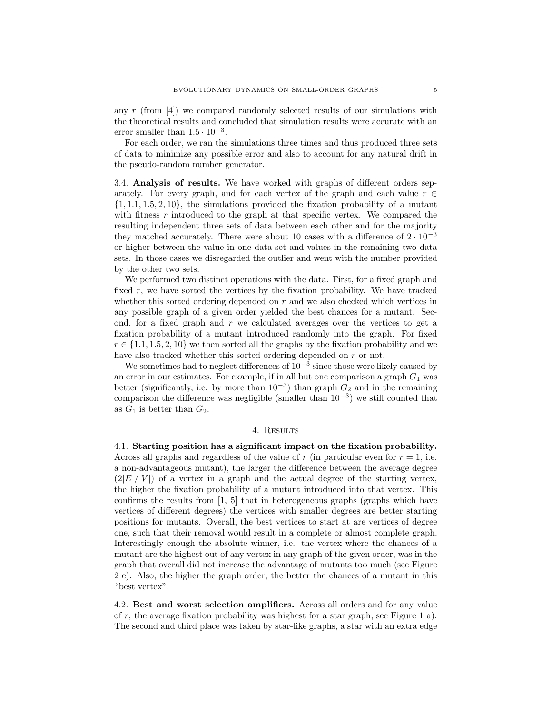any r (from  $[4]$ ) we compared randomly selected results of our simulations with the theoretical results and concluded that simulation results were accurate with an error smaller than  $1.5 \cdot 10^{-3}$ .

For each order, we ran the simulations three times and thus produced three sets of data to minimize any possible error and also to account for any natural drift in the pseudo-random number generator.

3.4. Analysis of results. We have worked with graphs of different orders separately. For every graph, and for each vertex of the graph and each value  $r \in$  $\{1, 1.1, 1.5, 2, 10\}$ , the simulations provided the fixation probability of a mutant with fitness  $r$  introduced to the graph at that specific vertex. We compared the resulting independent three sets of data between each other and for the majority they matched accurately. There were about 10 cases with a difference of  $2 \cdot 10^{-3}$ or higher between the value in one data set and values in the remaining two data sets. In those cases we disregarded the outlier and went with the number provided by the other two sets.

We performed two distinct operations with the data. First, for a fixed graph and fixed  $r$ , we have sorted the vertices by the fixation probability. We have tracked whether this sorted ordering depended on  $r$  and we also checked which vertices in any possible graph of a given order yielded the best chances for a mutant. Second, for a fixed graph and r we calculated averages over the vertices to get a fixation probability of a mutant introduced randomly into the graph. For fixed  $r \in \{1.1, 1.5, 2, 10\}$  we then sorted all the graphs by the fixation probability and we have also tracked whether this sorted ordering depended on r or not.

We sometimes had to neglect differences of  $10^{-3}$  since those were likely caused by an error in our estimates. For example, if in all but one comparison a graph  $G_1$  was better (significantly, i.e. by more than  $10^{-3}$ ) than graph  $G_2$  and in the remaining comparison the difference was negligible (smaller than  $10^{-3}$ ) we still counted that as  $G_1$  is better than  $G_2$ .

### 4. Results

4.1. Starting position has a significant impact on the fixation probability. Across all graphs and regardless of the value of r (in particular even for  $r = 1$ , i.e. a non-advantageous mutant), the larger the difference between the average degree  $(|2|E|/|V|)$  of a vertex in a graph and the actual degree of the starting vertex, the higher the fixation probability of a mutant introduced into that vertex. This confirms the results from [1, 5] that in heterogeneous graphs (graphs which have vertices of different degrees) the vertices with smaller degrees are better starting positions for mutants. Overall, the best vertices to start at are vertices of degree one, such that their removal would result in a complete or almost complete graph. Interestingly enough the absolute winner, i.e. the vertex where the chances of a mutant are the highest out of any vertex in any graph of the given order, was in the graph that overall did not increase the advantage of mutants too much (see Figure 2 e). Also, the higher the graph order, the better the chances of a mutant in this "best vertex".

4.2. Best and worst selection amplifiers. Across all orders and for any value of r, the average fixation probability was highest for a star graph, see Figure 1 a). The second and third place was taken by star-like graphs, a star with an extra edge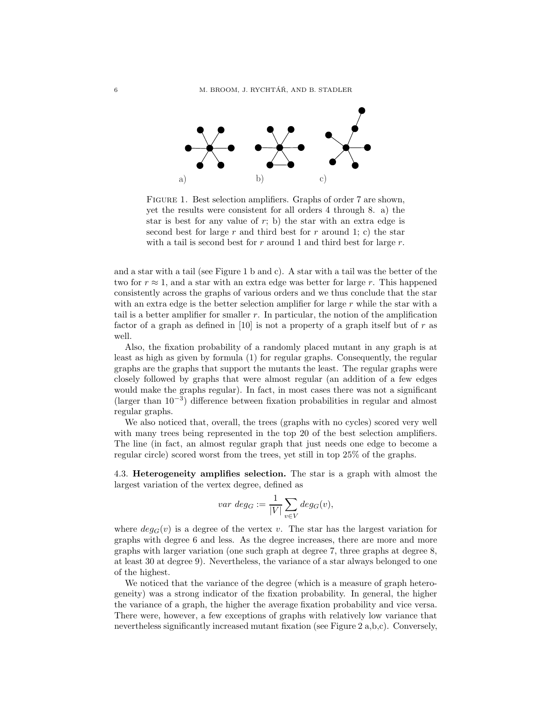

FIGURE 1. Best selection amplifiers. Graphs of order 7 are shown, yet the results were consistent for all orders 4 through 8. a) the star is best for any value of  $r$ ; b) the star with an extra edge is second best for large r and third best for r around 1; c) the star with a tail is second best for  $r$  around 1 and third best for large  $r$ .

and a star with a tail (see Figure 1 b and c). A star with a tail was the better of the two for  $r \approx 1$ , and a star with an extra edge was better for large r. This happened consistently across the graphs of various orders and we thus conclude that the star with an extra edge is the better selection amplifier for large  $r$  while the star with a tail is a better amplifier for smaller  $r$ . In particular, the notion of the amplification factor of a graph as defined in [10] is not a property of a graph itself but of  $r$  as well.

Also, the fixation probability of a randomly placed mutant in any graph is at least as high as given by formula (1) for regular graphs. Consequently, the regular graphs are the graphs that support the mutants the least. The regular graphs were closely followed by graphs that were almost regular (an addition of a few edges would make the graphs regular). In fact, in most cases there was not a significant (larger than 10<sup>−</sup><sup>3</sup> ) difference between fixation probabilities in regular and almost regular graphs.

We also noticed that, overall, the trees (graphs with no cycles) scored very well with many trees being represented in the top 20 of the best selection amplifiers. The line (in fact, an almost regular graph that just needs one edge to become a regular circle) scored worst from the trees, yet still in top 25% of the graphs.

4.3. Heterogeneity amplifies selection. The star is a graph with almost the largest variation of the vertex degree, defined as

$$
var \ deg_G := \frac{1}{|V|} \sum_{v \in V} deg_G(v),
$$

where  $deg_G(v)$  is a degree of the vertex v. The star has the largest variation for graphs with degree 6 and less. As the degree increases, there are more and more graphs with larger variation (one such graph at degree 7, three graphs at degree 8, at least 30 at degree 9). Nevertheless, the variance of a star always belonged to one of the highest.

We noticed that the variance of the degree (which is a measure of graph heterogeneity) was a strong indicator of the fixation probability. In general, the higher the variance of a graph, the higher the average fixation probability and vice versa. There were, however, a few exceptions of graphs with relatively low variance that nevertheless significantly increased mutant fixation (see Figure 2 a,b,c). Conversely,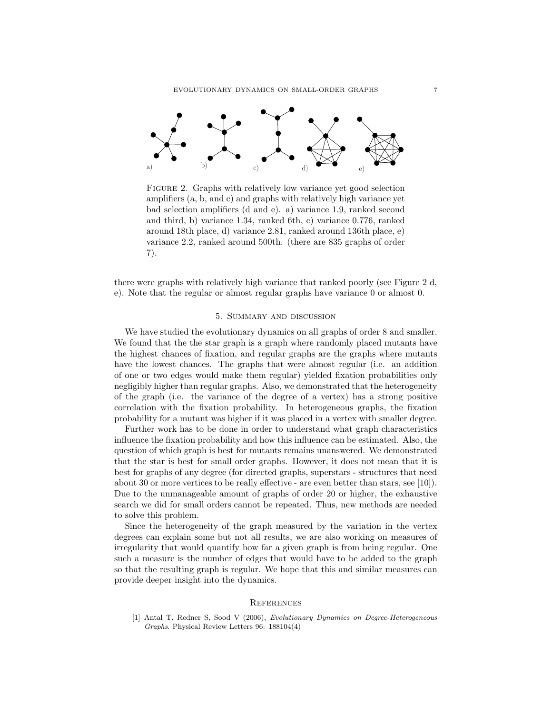

Figure 2. Graphs with relatively low variance yet good selection amplifiers (a, b, and c) and graphs with relatively high variance yet bad selection amplifiers (d and e). a) variance 1.9, ranked second and third, b) variance 1.34, ranked 6th, c) variance 0.776, ranked around 18th place, d) variance 2.81, ranked around 136th place, e) variance 2.2, ranked around 500th. (there are 835 graphs of order 7).

there were graphs with relatively high variance that ranked poorly (see Figure 2 d, e). Note that the regular or almost regular graphs have variance 0 or almost 0.

#### 5. Summary and discussion

We have studied the evolutionary dynamics on all graphs of order 8 and smaller. We found that the the star graph is a graph where randomly placed mutants have the highest chances of fixation, and regular graphs are the graphs where mutants have the lowest chances. The graphs that were almost regular (i.e. an addition of one or two edges would make them regular) yielded fixation probabilities only negligibly higher than regular graphs. Also, we demonstrated that the heterogeneity of the graph (i.e. the variance of the degree of a vertex) has a strong positive correlation with the fixation probability. In heterogeneous graphs, the fixation probability for a mutant was higher if it was placed in a vertex with smaller degree.

Further work has to be done in order to understand what graph characteristics influence the fixation probability and how this influence can be estimated. Also, the question of which graph is best for mutants remains unanswered. We demonstrated that the star is best for small order graphs. However, it does not mean that it is best for graphs of any degree (for directed graphs, superstars - structures that need about 30 or more vertices to be really effective - are even better than stars, see [10]). Due to the unmanageable amount of graphs of order 20 or higher, the exhaustive search we did for small orders cannot be repeated. Thus, new methods are needed to solve this problem.

Since the heterogeneity of the graph measured by the variation in the vertex degrees can explain some but not all results, we are also working on measures of irregularity that would quantify how far a given graph is from being regular. One such a measure is the number of edges that would have to be added to the graph so that the resulting graph is regular. We hope that this and similar measures can provide deeper insight into the dynamics.

#### **REFERENCES**

[1] Antal T, Redner S, Sood V (2006), Evolutionary Dynamics on Degree-Heterogeneous Graphs. Physical Review Letters 96: 188104(4)